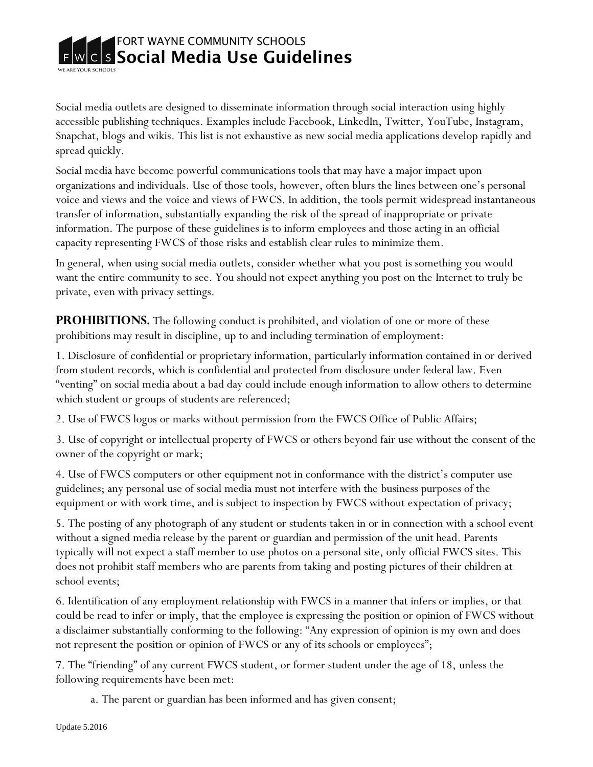

Social media outlets are designed to disseminate information through social interaction using highly accessible publishing techniques. Examples include Facebook, LinkedIn, Twitter, YouTube, Instagram, Snapchat, blogs and wikis. This list is not exhaustive as new social media applications develop rapidly and spread quickly.

Social media have become powerful communications tools that may have a major impact upon organizations and individuals. Use of those tools, however, often blurs the lines between one's personal voice and views and the voice and views of FWCS. In addition, the tools permit widespread instantaneous transfer of information, substantially expanding the risk of the spread of inappropriate or private information. The purpose of these guidelines is to inform employees and those acting in an official capacity representing FWCS of those risks and establish clear rules to minimize them.

In general, when using social media outlets, consider whether what you post is something you would want the entire community to see. You should not expect anything you post on the Internet to truly be private, even with privacy settings.

**PROHIBITIONS.** The following conduct is prohibited, and violation of one or more of these prohibitions may result in discipline, up to and including termination of employment:

1. Disclosure of confidential or proprietary information, particularly information contained in or derived from student records, which is confidential and protected from disclosure under federal law. Even "venting" on social media about a bad day could include enough information to allow others to determine which student or groups of students are referenced;

2. Use of FWCS logos or marks without permission from the FWCS Office of Public Affairs;

3. Use of copyright or intellectual property of FWCS or others beyond fair use without the consent of the owner of the copyright or mark;

4. Use of FWCS computers or other equipment not in conformance with the district's computer use guidelines; any personal use of social media must not interfere with the business purposes of the equipment or with work time, and is subject to inspection by FWCS without expectation of privacy;

5. The posting of any photograph of any student or students taken in or in connection with a school event without a signed media release by the parent or guardian and permission of the unit head. Parents typically will not expect a staff member to use photos on a personal site, only official FWCS sites. This does not prohibit staff members who are parents from taking and posting pictures of their children at school events;

6. Identification of any employment relationship with FWCS in a manner that infers or implies, or that could be read to infer or imply, that the employee is expressing the position or opinion of FWCS without a disclaimer substantially conforming to the following: "Any expression of opinion is my own and does not represent the position or opinion of FWCS or any of its schools or employees";

7. The "friending" of any current FWCS student, or former student under the age of 18, unless the following requirements have been met:

a. The parent or guardian has been informed and has given consent;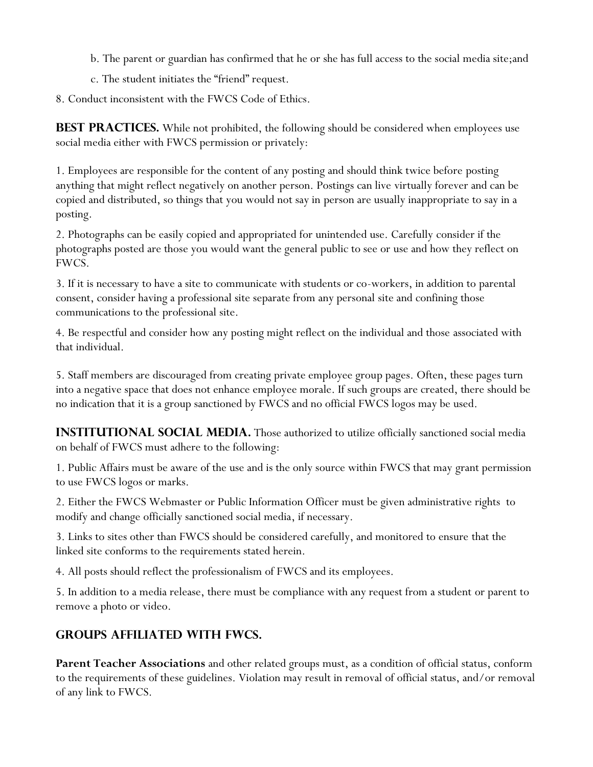- b. The parent or guardian has confirmed that he or she has full access to the social media site;and
- c. The student initiates the "friend" request.

8. Conduct inconsistent with the FWCS Code of Ethics.

**BEST PRACTICES.** While not prohibited, the following should be considered when employees use social media either with FWCS permission or privately:

1. Employees are responsible for the content of any posting and should think twice before posting anything that might reflect negatively on another person. Postings can live virtually forever and can be copied and distributed, so things that you would not say in person are usually inappropriate to say in a posting.

2. Photographs can be easily copied and appropriated for unintended use. Carefully consider if the photographs posted are those you would want the general public to see or use and how they reflect on FWCS.

3. If it is necessary to have a site to communicate with students or co-workers, in addition to parental consent, consider having a professional site separate from any personal site and confining those communications to the professional site.

4. Be respectful and consider how any posting might reflect on the individual and those associated with that individual.

5. Staff members are discouraged from creating private employee group pages. Often, these pages turn into a negative space that does not enhance employee morale. If such groups are created, there should be no indication that it is a group sanctioned by FWCS and no official FWCS logos may be used.

**INSTITUTIONAL SOCIAL MEDIA.** Those authorized to utilize officially sanctioned social media on behalf of FWCS must adhere to the following:

1. Public Affairs must be aware of the use and is the only source within FWCS that may grant permission to use FWCS logos or marks.

2. Either the FWCS Webmaster or Public Information Officer must be given administrative rights to modify and change officially sanctioned social media, if necessary.

3. Links to sites other than FWCS should be considered carefully, and monitored to ensure that the linked site conforms to the requirements stated herein.

4. All posts should reflect the professionalism of FWCS and its employees.

5. In addition to a media release, there must be compliance with any request from a student or parent to remove a photo or video.

## **Groups affiliated with fwcs.**

**Parent Teacher Associations** and other related groups must, as a condition of official status, conform to the requirements of these guidelines. Violation may result in removal of official status, and/or removal of any link to FWCS.